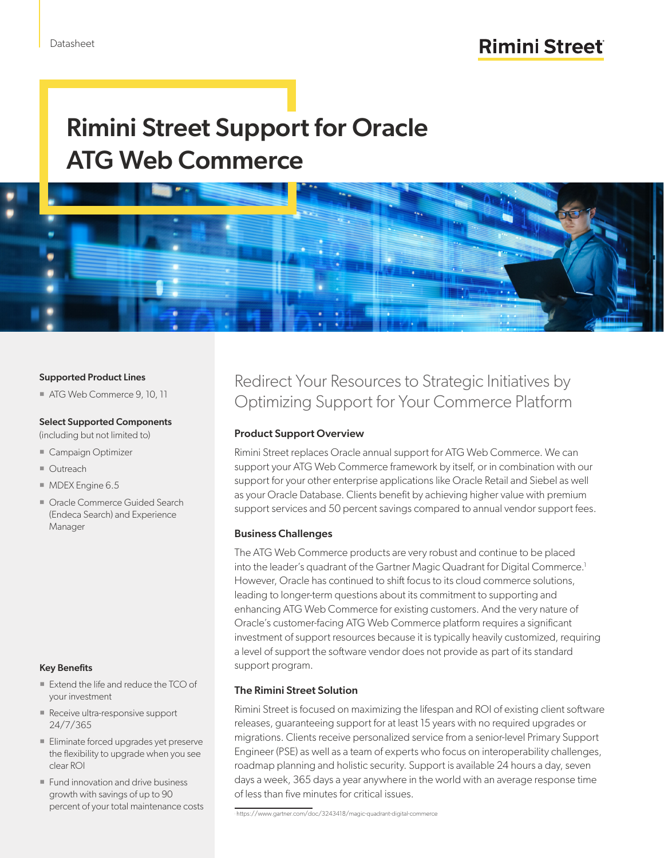# Rimini Street Support for Oracle ATG Web Commerce



#### Supported Product Lines

ATG Web Commerce 9, 10, 11

#### Select Supported Components

(including but not limited to)

- Campaign Optimizer
- Outreach
- MDEX Engine 6.5
- **Dracle Commerce Guided Search** (Endeca Search) and Experience Manager

#### Key Benefits

- Extend the life and reduce the TCO of your investment
- Receive ultra-responsive support 24/7/365
- **Eliminate forced upgrades yet preserve** the flexibility to upgrade when you see clear ROI
- Fund innovation and drive business growth with savings of up to 90 percent of your total maintenance costs

### Redirect Your Resources to Strategic Initiatives by Optimizing Support for Your Commerce Platform

#### Product Support Overview

Rimini Street replaces Oracle annual support for ATG Web Commerce. We can support your ATG Web Commerce framework by itself, or in combination with our support for your other enterprise applications like Oracle Retail and Siebel as well as your Oracle Database. Clients benefit by achieving higher value with premium support services and 50 percent savings compared to annual vendor support fees.

#### Business Challenges

The ATG Web Commerce products are very robust and continue to be placed into the leader's quadrant of the Gartner Magic Quadrant for Digital Commerce.<sup>1</sup> However, Oracle has continued to shift focus to its cloud commerce solutions, leading to longer-term questions about its commitment to supporting and enhancing ATG Web Commerce for existing customers. And the very nature of Oracle's customer-facing ATG Web Commerce platform requires a significant investment of support resources because it is typically heavily customized, requiring a level of support the software vendor does not provide as part of its standard support program.

#### The Rimini Street Solution

Rimini Street is focused on maximizing the lifespan and ROI of existing client software releases, guaranteeing support for at least 15 years with no required upgrades or migrations. Clients receive personalized service from a senior-level Primary Support Engineer (PSE) as well as a team of experts who focus on interoperability challenges, roadmap planning and holistic security. Support is available 24 hours a day, seven days a week, 365 days a year anywhere in the world with an average response time of less than five minutes for critical issues.

<sup>1&</sup>lt;sup></sup><br><https://www.gartner.com/doc/3243418/magic-quadrant-digital-commerce>